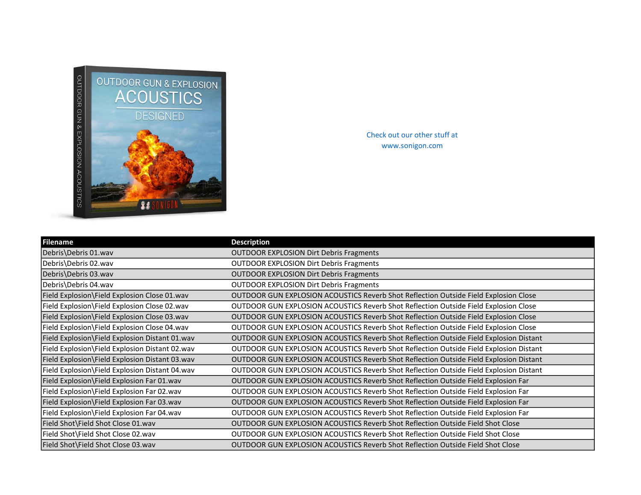

Check out our other stuff at www.sonigon.com

| <b>Filename</b>                                | <b>Description</b>                                                                     |
|------------------------------------------------|----------------------------------------------------------------------------------------|
| Debris\Debris 01.wav                           | <b>OUTDOOR EXPLOSION Dirt Debris Fragments</b>                                         |
| Debris\Debris 02.wav                           | <b>OUTDOOR EXPLOSION Dirt Debris Fragments</b>                                         |
| Debris\Debris 03.wav                           | <b>OUTDOOR EXPLOSION Dirt Debris Fragments</b>                                         |
| Debris\Debris 04.wav                           | <b>OUTDOOR EXPLOSION Dirt Debris Fragments</b>                                         |
| Field Explosion\Field Explosion Close 01.wav   | OUTDOOR GUN EXPLOSION ACOUSTICS Reverb Shot Reflection Outside Field Explosion Close   |
| Field Explosion\Field Explosion Close 02.wav   | OUTDOOR GUN EXPLOSION ACOUSTICS Reverb Shot Reflection Outside Field Explosion Close   |
| Field Explosion\Field Explosion Close 03.wav   | OUTDOOR GUN EXPLOSION ACOUSTICS Reverb Shot Reflection Outside Field Explosion Close   |
| Field Explosion\Field Explosion Close 04.wav   | OUTDOOR GUN EXPLOSION ACOUSTICS Reverb Shot Reflection Outside Field Explosion Close   |
| Field Explosion\Field Explosion Distant 01.wav | OUTDOOR GUN EXPLOSION ACOUSTICS Reverb Shot Reflection Outside Field Explosion Distant |
| Field Explosion\Field Explosion Distant 02.wav | OUTDOOR GUN EXPLOSION ACOUSTICS Reverb Shot Reflection Outside Field Explosion Distant |
| Field Explosion\Field Explosion Distant 03.wav | OUTDOOR GUN EXPLOSION ACOUSTICS Reverb Shot Reflection Outside Field Explosion Distant |
| Field Explosion\Field Explosion Distant 04.wav | OUTDOOR GUN EXPLOSION ACOUSTICS Reverb Shot Reflection Outside Field Explosion Distant |
| Field Explosion\Field Explosion Far 01.wav     | OUTDOOR GUN EXPLOSION ACOUSTICS Reverb Shot Reflection Outside Field Explosion Far     |
| Field Explosion\Field Explosion Far 02.wav     | OUTDOOR GUN EXPLOSION ACOUSTICS Reverb Shot Reflection Outside Field Explosion Far     |
| Field Explosion\Field Explosion Far 03.wav     | OUTDOOR GUN EXPLOSION ACOUSTICS Reverb Shot Reflection Outside Field Explosion Far     |
| Field Explosion\Field Explosion Far 04.wav     | OUTDOOR GUN EXPLOSION ACOUSTICS Reverb Shot Reflection Outside Field Explosion Far     |
| Field Shot\Field Shot Close 01.wav             | <b>OUTDOOR GUN EXPLOSION ACOUSTICS Reverb Shot Reflection Outside Field Shot Close</b> |
| Field Shot\Field Shot Close 02.wav             | <b>OUTDOOR GUN EXPLOSION ACOUSTICS Reverb Shot Reflection Outside Field Shot Close</b> |
| Field Shot\Field Shot Close 03.wav             | <b>OUTDOOR GUN EXPLOSION ACOUSTICS Reverb Shot Reflection Outside Field Shot Close</b> |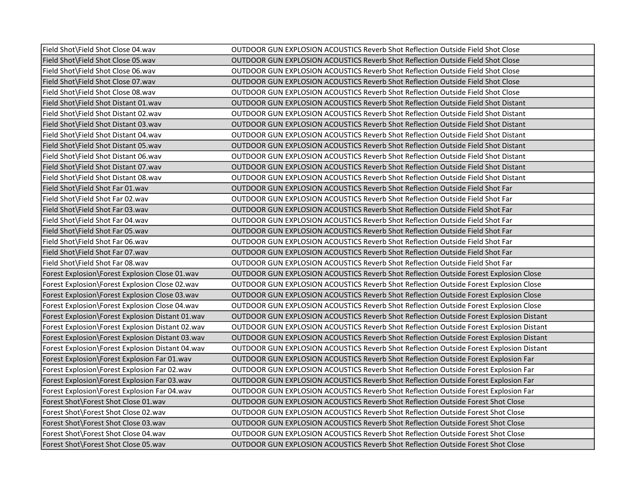| Field Shot\Field Shot Close 04.wav               | OUTDOOR GUN EXPLOSION ACOUSTICS Reverb Shot Reflection Outside Field Shot Close                |
|--------------------------------------------------|------------------------------------------------------------------------------------------------|
| Field Shot\Field Shot Close 05.wav               | OUTDOOR GUN EXPLOSION ACOUSTICS Reverb Shot Reflection Outside Field Shot Close                |
| Field Shot\Field Shot Close 06.wav               | OUTDOOR GUN EXPLOSION ACOUSTICS Reverb Shot Reflection Outside Field Shot Close                |
| Field Shot\Field Shot Close 07.wav               | OUTDOOR GUN EXPLOSION ACOUSTICS Reverb Shot Reflection Outside Field Shot Close                |
| Field Shot\Field Shot Close 08.wav               | OUTDOOR GUN EXPLOSION ACOUSTICS Reverb Shot Reflection Outside Field Shot Close                |
| Field Shot\Field Shot Distant 01.wav             | OUTDOOR GUN EXPLOSION ACOUSTICS Reverb Shot Reflection Outside Field Shot Distant              |
| Field Shot\Field Shot Distant 02.wav             | OUTDOOR GUN EXPLOSION ACOUSTICS Reverb Shot Reflection Outside Field Shot Distant              |
| Field Shot\Field Shot Distant 03.wav             | <b>OUTDOOR GUN EXPLOSION ACOUSTICS Reverb Shot Reflection Outside Field Shot Distant</b>       |
| Field Shot\Field Shot Distant 04.wav             | <b>OUTDOOR GUN EXPLOSION ACOUSTICS Reverb Shot Reflection Outside Field Shot Distant</b>       |
| Field Shot\Field Shot Distant 05.wav             | OUTDOOR GUN EXPLOSION ACOUSTICS Reverb Shot Reflection Outside Field Shot Distant              |
| Field Shot\Field Shot Distant 06.wav             | <b>OUTDOOR GUN EXPLOSION ACOUSTICS Reverb Shot Reflection Outside Field Shot Distant</b>       |
| Field Shot\Field Shot Distant 07.wav             | <b>OUTDOOR GUN EXPLOSION ACOUSTICS Reverb Shot Reflection Outside Field Shot Distant</b>       |
| Field Shot\Field Shot Distant 08.wav             | OUTDOOR GUN EXPLOSION ACOUSTICS Reverb Shot Reflection Outside Field Shot Distant              |
| Field Shot\Field Shot Far 01.wav                 | OUTDOOR GUN EXPLOSION ACOUSTICS Reverb Shot Reflection Outside Field Shot Far                  |
| Field Shot\Field Shot Far 02.wav                 | OUTDOOR GUN EXPLOSION ACOUSTICS Reverb Shot Reflection Outside Field Shot Far                  |
| Field Shot\Field Shot Far 03.wav                 | OUTDOOR GUN EXPLOSION ACOUSTICS Reverb Shot Reflection Outside Field Shot Far                  |
| Field Shot\Field Shot Far 04.wav                 | OUTDOOR GUN EXPLOSION ACOUSTICS Reverb Shot Reflection Outside Field Shot Far                  |
| Field Shot\Field Shot Far 05.wav                 | OUTDOOR GUN EXPLOSION ACOUSTICS Reverb Shot Reflection Outside Field Shot Far                  |
| Field Shot\Field Shot Far 06.wav                 | OUTDOOR GUN EXPLOSION ACOUSTICS Reverb Shot Reflection Outside Field Shot Far                  |
| Field Shot\Field Shot Far 07.wav                 | OUTDOOR GUN EXPLOSION ACOUSTICS Reverb Shot Reflection Outside Field Shot Far                  |
| Field Shot\Field Shot Far 08.wav                 | OUTDOOR GUN EXPLOSION ACOUSTICS Reverb Shot Reflection Outside Field Shot Far                  |
| Forest Explosion\Forest Explosion Close 01.wav   | OUTDOOR GUN EXPLOSION ACOUSTICS Reverb Shot Reflection Outside Forest Explosion Close          |
| Forest Explosion\Forest Explosion Close 02.wav   | OUTDOOR GUN EXPLOSION ACOUSTICS Reverb Shot Reflection Outside Forest Explosion Close          |
| Forest Explosion\Forest Explosion Close 03.wav   | OUTDOOR GUN EXPLOSION ACOUSTICS Reverb Shot Reflection Outside Forest Explosion Close          |
| Forest Explosion\Forest Explosion Close 04.wav   | OUTDOOR GUN EXPLOSION ACOUSTICS Reverb Shot Reflection Outside Forest Explosion Close          |
| Forest Explosion\Forest Explosion Distant 01.wav | <b>OUTDOOR GUN EXPLOSION ACOUSTICS Reverb Shot Reflection Outside Forest Explosion Distant</b> |
| Forest Explosion\Forest Explosion Distant 02.wav | OUTDOOR GUN EXPLOSION ACOUSTICS Reverb Shot Reflection Outside Forest Explosion Distant        |
| Forest Explosion\Forest Explosion Distant 03.wav | OUTDOOR GUN EXPLOSION ACOUSTICS Reverb Shot Reflection Outside Forest Explosion Distant        |
| Forest Explosion\Forest Explosion Distant 04.wav | <b>OUTDOOR GUN EXPLOSION ACOUSTICS Reverb Shot Reflection Outside Forest Explosion Distant</b> |
| Forest Explosion\Forest Explosion Far 01. way    | OUTDOOR GUN EXPLOSION ACOUSTICS Reverb Shot Reflection Outside Forest Explosion Far            |
| Forest Explosion\Forest Explosion Far 02. way    | OUTDOOR GUN EXPLOSION ACOUSTICS Reverb Shot Reflection Outside Forest Explosion Far            |
| Forest Explosion\Forest Explosion Far 03.wav     | OUTDOOR GUN EXPLOSION ACOUSTICS Reverb Shot Reflection Outside Forest Explosion Far            |
| Forest Explosion\Forest Explosion Far 04.wav     | OUTDOOR GUN EXPLOSION ACOUSTICS Reverb Shot Reflection Outside Forest Explosion Far            |
| Forest Shot\Forest Shot Close 01.wav             | OUTDOOR GUN EXPLOSION ACOUSTICS Reverb Shot Reflection Outside Forest Shot Close               |
| Forest Shot\Forest Shot Close 02.wav             | OUTDOOR GUN EXPLOSION ACOUSTICS Reverb Shot Reflection Outside Forest Shot Close               |
| Forest Shot\Forest Shot Close 03.wav             | OUTDOOR GUN EXPLOSION ACOUSTICS Reverb Shot Reflection Outside Forest Shot Close               |
| Forest Shot\Forest Shot Close 04.wav             | OUTDOOR GUN EXPLOSION ACOUSTICS Reverb Shot Reflection Outside Forest Shot Close               |
| Forest Shot\Forest Shot Close 05.wav             | OUTDOOR GUN EXPLOSION ACOUSTICS Reverb Shot Reflection Outside Forest Shot Close               |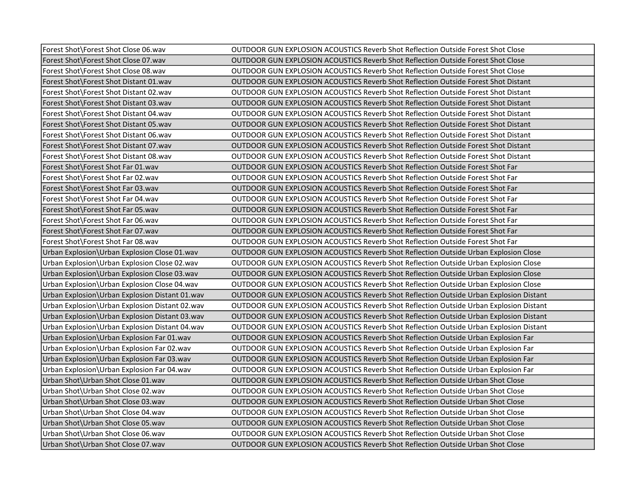| Forest Shot\Forest Shot Close 06.wav           | OUTDOOR GUN EXPLOSION ACOUSTICS Reverb Shot Reflection Outside Forest Shot Close              |
|------------------------------------------------|-----------------------------------------------------------------------------------------------|
| Forest Shot\Forest Shot Close 07.wav           | OUTDOOR GUN EXPLOSION ACOUSTICS Reverb Shot Reflection Outside Forest Shot Close              |
| Forest Shot\Forest Shot Close 08.wav           | <b>OUTDOOR GUN EXPLOSION ACOUSTICS Reverb Shot Reflection Outside Forest Shot Close</b>       |
| Forest Shot Forest Shot Distant 01. way        | OUTDOOR GUN EXPLOSION ACOUSTICS Reverb Shot Reflection Outside Forest Shot Distant            |
| Forest Shot\Forest Shot Distant 02.wav         | OUTDOOR GUN EXPLOSION ACOUSTICS Reverb Shot Reflection Outside Forest Shot Distant            |
| Forest Shot\Forest Shot Distant 03.wav         | OUTDOOR GUN EXPLOSION ACOUSTICS Reverb Shot Reflection Outside Forest Shot Distant            |
| Forest Shot\Forest Shot Distant 04.wav         | OUTDOOR GUN EXPLOSION ACOUSTICS Reverb Shot Reflection Outside Forest Shot Distant            |
| Forest Shot\Forest Shot Distant 05.wav         | OUTDOOR GUN EXPLOSION ACOUSTICS Reverb Shot Reflection Outside Forest Shot Distant            |
| Forest Shot\Forest Shot Distant 06.wav         | <b>OUTDOOR GUN EXPLOSION ACOUSTICS Reverb Shot Reflection Outside Forest Shot Distant</b>     |
| Forest Shot\Forest Shot Distant 07.wav         | <b>OUTDOOR GUN EXPLOSION ACOUSTICS Reverb Shot Reflection Outside Forest Shot Distant</b>     |
| Forest Shot\Forest Shot Distant 08.wav         | OUTDOOR GUN EXPLOSION ACOUSTICS Reverb Shot Reflection Outside Forest Shot Distant            |
| Forest Shot \Forest Shot Far 01. wav           | OUTDOOR GUN EXPLOSION ACOUSTICS Reverb Shot Reflection Outside Forest Shot Far                |
| Forest Shot\Forest Shot Far 02.wav             | OUTDOOR GUN EXPLOSION ACOUSTICS Reverb Shot Reflection Outside Forest Shot Far                |
| Forest Shot\Forest Shot Far 03.wav             | OUTDOOR GUN EXPLOSION ACOUSTICS Reverb Shot Reflection Outside Forest Shot Far                |
| Forest Shot Forest Shot Far 04. way            | OUTDOOR GUN EXPLOSION ACOUSTICS Reverb Shot Reflection Outside Forest Shot Far                |
| Forest Shot\Forest Shot Far 05.wav             | OUTDOOR GUN EXPLOSION ACOUSTICS Reverb Shot Reflection Outside Forest Shot Far                |
| Forest Shot\Forest Shot Far 06.wav             | OUTDOOR GUN EXPLOSION ACOUSTICS Reverb Shot Reflection Outside Forest Shot Far                |
| Forest Shot\Forest Shot Far 07.wav             | OUTDOOR GUN EXPLOSION ACOUSTICS Reverb Shot Reflection Outside Forest Shot Far                |
| Forest Shot\Forest Shot Far 08.wav             | OUTDOOR GUN EXPLOSION ACOUSTICS Reverb Shot Reflection Outside Forest Shot Far                |
| Urban Explosion\Urban Explosion Close 01.wav   | OUTDOOR GUN EXPLOSION ACOUSTICS Reverb Shot Reflection Outside Urban Explosion Close          |
| Urban Explosion\Urban Explosion Close 02.wav   | OUTDOOR GUN EXPLOSION ACOUSTICS Reverb Shot Reflection Outside Urban Explosion Close          |
| Urban Explosion\Urban Explosion Close 03.wav   | OUTDOOR GUN EXPLOSION ACOUSTICS Reverb Shot Reflection Outside Urban Explosion Close          |
| Urban Explosion\Urban Explosion Close 04.wav   | OUTDOOR GUN EXPLOSION ACOUSTICS Reverb Shot Reflection Outside Urban Explosion Close          |
| Urban Explosion\Urban Explosion Distant 01.wav | <b>OUTDOOR GUN EXPLOSION ACOUSTICS Reverb Shot Reflection Outside Urban Explosion Distant</b> |
| Urban Explosion\Urban Explosion Distant 02.wav | OUTDOOR GUN EXPLOSION ACOUSTICS Reverb Shot Reflection Outside Urban Explosion Distant        |
| Urban Explosion\Urban Explosion Distant 03.wav | OUTDOOR GUN EXPLOSION ACOUSTICS Reverb Shot Reflection Outside Urban Explosion Distant        |
| Urban Explosion\Urban Explosion Distant 04.wav | OUTDOOR GUN EXPLOSION ACOUSTICS Reverb Shot Reflection Outside Urban Explosion Distant        |
| Urban Explosion\Urban Explosion Far 01.wav     | OUTDOOR GUN EXPLOSION ACOUSTICS Reverb Shot Reflection Outside Urban Explosion Far            |
| Urban Explosion\Urban Explosion Far 02.wav     | OUTDOOR GUN EXPLOSION ACOUSTICS Reverb Shot Reflection Outside Urban Explosion Far            |
| Urban Explosion\Urban Explosion Far 03.wav     | OUTDOOR GUN EXPLOSION ACOUSTICS Reverb Shot Reflection Outside Urban Explosion Far            |
| Urban Explosion\Urban Explosion Far 04.wav     | OUTDOOR GUN EXPLOSION ACOUSTICS Reverb Shot Reflection Outside Urban Explosion Far            |
| Urban Shot\Urban Shot Close 01.wav             | OUTDOOR GUN EXPLOSION ACOUSTICS Reverb Shot Reflection Outside Urban Shot Close               |
| Urban Shot \Urban Shot Close 02.wav            | <b>OUTDOOR GUN EXPLOSION ACOUSTICS Reverb Shot Reflection Outside Urban Shot Close</b>        |
| Urban Shot Urban Shot Close 03. way            | <b>OUTDOOR GUN EXPLOSION ACOUSTICS Reverb Shot Reflection Outside Urban Shot Close</b>        |
| Urban Shot\Urban Shot Close 04.wav             | OUTDOOR GUN EXPLOSION ACOUSTICS Reverb Shot Reflection Outside Urban Shot Close               |
| Urban Shot\Urban Shot Close 05.wav             | OUTDOOR GUN EXPLOSION ACOUSTICS Reverb Shot Reflection Outside Urban Shot Close               |
| Urban Shot\Urban Shot Close 06.wav             | OUTDOOR GUN EXPLOSION ACOUSTICS Reverb Shot Reflection Outside Urban Shot Close               |
| Urban Shot Urban Shot Close 07. way            | OUTDOOR GUN EXPLOSION ACOUSTICS Reverb Shot Reflection Outside Urban Shot Close               |